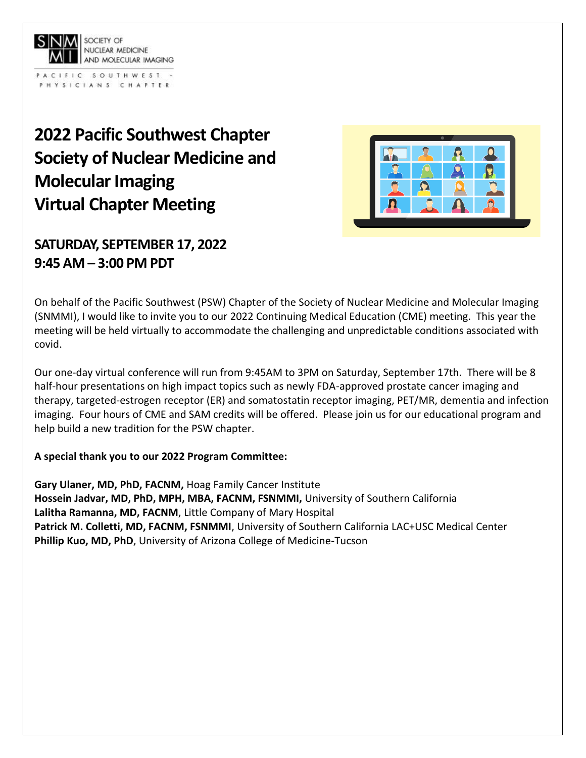

PACIFIC SOUTHWEST -PHYSICIANS CHAPTER

## **2022 Pacific Southwest Chapter Society of Nuclear Medicine and Molecular Imaging Virtual Chapter Meeting**



## **SATURDAY, SEPTEMBER 17, 2022 9:45 AM – 3:00 PM PDT**

On behalf of the Pacific Southwest (PSW) Chapter of the Society of Nuclear Medicine and Molecular Imaging (SNMMI), I would like to invite you to our 2022 Continuing Medical Education (CME) meeting. This year the meeting will be held virtually to accommodate the challenging and unpredictable conditions associated with covid.

Our one-day virtual conference will run from 9:45AM to 3PM on Saturday, September 17th. There will be 8 half-hour presentations on high impact topics such as newly FDA-approved prostate cancer imaging and therapy, targeted-estrogen receptor (ER) and somatostatin receptor imaging, PET/MR, dementia and infection imaging. Four hours of CME and SAM credits will be offered. Please join us for our educational program and help build a new tradition for the PSW chapter.

## **A special thank you to our 2022 Program Committee:**

**Gary Ulaner, MD, PhD, FACNM,** Hoag Family Cancer Institute **Hossein Jadvar, MD, PhD, MPH, MBA, FACNM, FSNMMI,** University of Southern California **Lalitha Ramanna, MD, FACNM**, Little Company of Mary Hospital **Patrick M. Colletti, MD, FACNM, FSNMMI**, University of Southern California LAC+USC Medical Center **Phillip Kuo, MD, PhD**, University of Arizona College of Medicine-Tucson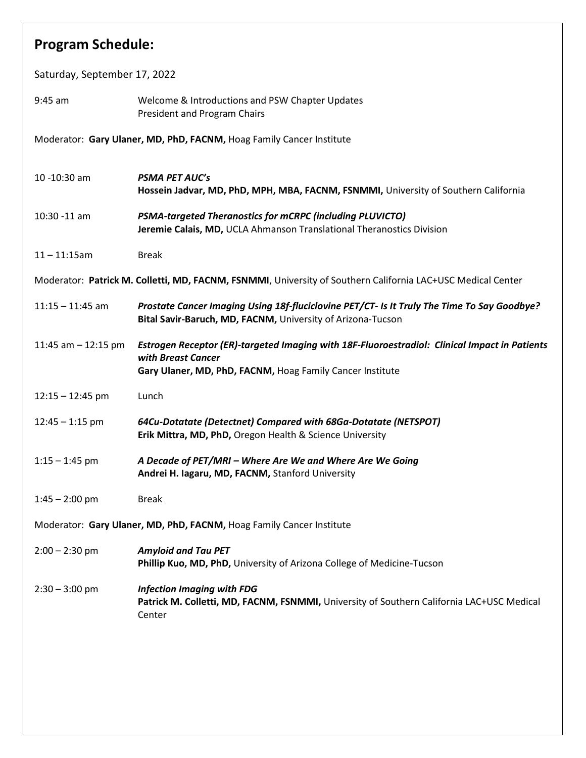| <b>Program Schedule:</b>                                                                                    |                                                                                                                                                                                  |  |  |  |
|-------------------------------------------------------------------------------------------------------------|----------------------------------------------------------------------------------------------------------------------------------------------------------------------------------|--|--|--|
| Saturday, September 17, 2022                                                                                |                                                                                                                                                                                  |  |  |  |
| $9:45$ am                                                                                                   | Welcome & Introductions and PSW Chapter Updates<br>President and Program Chairs                                                                                                  |  |  |  |
| Moderator: Gary Ulaner, MD, PhD, FACNM, Hoag Family Cancer Institute                                        |                                                                                                                                                                                  |  |  |  |
| 10 -10:30 am                                                                                                | <b>PSMA PET AUC'S</b><br>Hossein Jadvar, MD, PhD, MPH, MBA, FACNM, FSNMMI, University of Southern California                                                                     |  |  |  |
| 10:30 -11 am                                                                                                | <b>PSMA-targeted Theranostics for mCRPC (including PLUVICTO)</b><br>Jeremie Calais, MD, UCLA Ahmanson Translational Theranostics Division                                        |  |  |  |
| $11 - 11:15$ am                                                                                             | <b>Break</b>                                                                                                                                                                     |  |  |  |
| Moderator: Patrick M. Colletti, MD, FACNM, FSNMMI, University of Southern California LAC+USC Medical Center |                                                                                                                                                                                  |  |  |  |
| $11:15 - 11:45$ am                                                                                          | Prostate Cancer Imaging Using 18f-fluciclovine PET/CT- Is It Truly The Time To Say Goodbye?<br>Bital Savir-Baruch, MD, FACNM, University of Arizona-Tucson                       |  |  |  |
| 11:45 am $-$ 12:15 pm                                                                                       | Estrogen Receptor (ER)-targeted Imaging with 18F-Fluoroestradiol: Clinical Impact in Patients<br>with Breast Cancer<br>Gary Ulaner, MD, PhD, FACNM, Hoag Family Cancer Institute |  |  |  |
| $12:15 - 12:45$ pm                                                                                          | Lunch                                                                                                                                                                            |  |  |  |
| $12:45 - 1:15$ pm                                                                                           | 64Cu-Dotatate (Detectnet) Compared with 68Ga-Dotatate (NETSPOT)<br>Erik Mittra, MD, PhD, Oregon Health & Science University                                                      |  |  |  |
| $1:15 - 1:45$ pm                                                                                            | A Decade of PET/MRI - Where Are We and Where Are We Going<br>Andrei H. Iagaru, MD, FACNM, Stanford University                                                                    |  |  |  |
| $1:45 - 2:00$ pm                                                                                            | <b>Break</b>                                                                                                                                                                     |  |  |  |
| Moderator: Gary Ulaner, MD, PhD, FACNM, Hoag Family Cancer Institute                                        |                                                                                                                                                                                  |  |  |  |
| $2:00 - 2:30$ pm                                                                                            | <b>Amyloid and Tau PET</b><br>Phillip Kuo, MD, PhD, University of Arizona College of Medicine-Tucson                                                                             |  |  |  |
| $2:30 - 3:00$ pm                                                                                            | <b>Infection Imaging with FDG</b><br>Patrick M. Colletti, MD, FACNM, FSNMMI, University of Southern California LAC+USC Medical<br>Center                                         |  |  |  |
|                                                                                                             |                                                                                                                                                                                  |  |  |  |
|                                                                                                             |                                                                                                                                                                                  |  |  |  |
|                                                                                                             |                                                                                                                                                                                  |  |  |  |